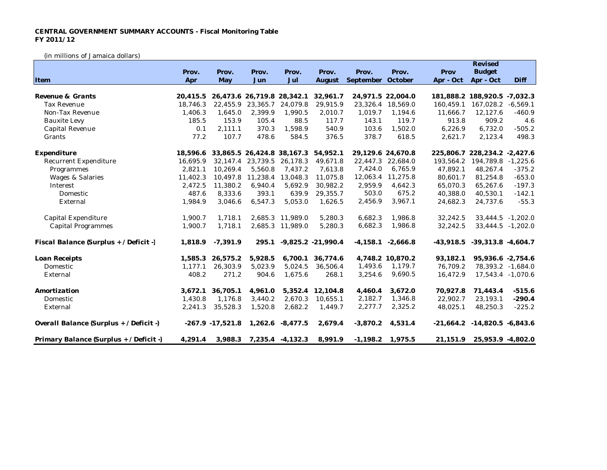## **CENTRAL GOVERNMENT SUMMARY ACCOUNTS - Fiscal Monitoring Table FY 2011/12**

(in millions of Jamaica dollars)

|                                         |          |                     |          |                            |                      |            |                       |             | Revised                            |                   |
|-----------------------------------------|----------|---------------------|----------|----------------------------|----------------------|------------|-----------------------|-------------|------------------------------------|-------------------|
|                                         | Prov.    | Prov.               | Prov.    | Prov.                      | Prov.                | Prov.      | Prov.                 | Prov        | <b>Budget</b>                      |                   |
| Item                                    | Apr      | May                 | Jun      | Jul                        | August               | September  | October               | Apr - Oct   | Apr - Oct                          | Diff              |
|                                         |          |                     |          |                            |                      |            |                       |             |                                    |                   |
| Revenue & Grants                        | 20,415.5 |                     |          | 26,473.6 26,719.8 28,342.1 | 32,961.7             |            | 24,971.5 22,004.0     |             | 181,888.2 188,920.5 -7,032.3       |                   |
| <b>Tax Revenue</b>                      | 18.746.3 | 22,455.9            | 23,365.7 | 24,079.8                   | 29,915.9             | 23,326.4   | 18,569.0              | 160.459.1   | 167,028.2                          | $-6,569.1$        |
| Non-Tax Revenue                         | 1,406.3  | 1,645.0             | 2,399.9  | 1,990.5                    | 2,010.7              | 1,019.7    | 1,194.6               | 11,666.7    | 12,127.6                           | $-460.9$          |
| <b>Bauxite Levy</b>                     | 185.5    | 153.9               | 105.4    | 88.5                       | 117.7                | 143.1      | 119.7                 | 913.8       | 909.2                              | 4.6               |
| Capital Revenue                         | 0.1      | 2,111.1             | 370.3    | 1,598.9                    | 540.9                | 103.6      | 1,502.0               | 6,226.9     | 6,732.0                            | $-505.2$          |
| Grants                                  | 77.2     | 107.7               | 478.6    | 584.5                      | 376.5                | 378.7      | 618.5                 | 2,621.7     | 2,123.4                            | 498.3             |
| Expenditure                             | 18.596.6 |                     |          | 33,865.5 26,424.8 38,167.3 | 54,952.1             |            | 29,129.6 24,670.8     |             | 225,806.7 228,234.2                | $-2,427.6$        |
| <b>Recurrent Expenditure</b>            | 16,695.9 | 32,147.4            | 23,739.5 | 26,178.3                   | 49,671.8             | 22,447.3   | 22,684.0              | 193,564.2   | 194,789.8 -1,225.6                 |                   |
| Programmes                              | 2,821.1  | 10,269.4            | 5,560.8  | 7,437.2                    | 7,613.8              | 7,424.0    | 6,765.9               | 47,892.1    | 48,267.4                           | $-375.2$          |
| Wages & Salaries                        | 11,402.3 | 10,497.8            | 11,238.4 | 13,048.3                   | 11,075.8             | 12,063.4   | 11,275.8              | 80,601.7    | 81,254.8                           | $-653.0$          |
| Interest                                | 2.472.5  | 11,380.2            | 6,940.4  | 5,692.9                    | 30,982.2             | 2.959.9    | 4,642.3               | 65,070.3    | 65,267.6                           | $-197.3$          |
| Domestic                                | 487.6    | 8,333.6             | 393.1    | 639.9                      | 29,355.7             | 503.0      | 675.2                 | 40,388.0    | 40,530.1                           | $-142.1$          |
| External                                | 1,984.9  | 3,046.6             | 6,547.3  | 5,053.0                    | 1,626.5              | 2,456.9    | 3,967.1               | 24,682.3    | 24,737.6                           | $-55.3$           |
| Capital Expenditure                     | 1,900.7  | 1,718.1             |          | 2,685.3 11,989.0           | 5,280.3              | 6,682.3    | 1,986.8               | 32,242.5    |                                    | 33,444.5 -1,202.0 |
| <b>Capital Programmes</b>               | 1,900.7  | 1,718.1             |          | 2,685.3 11,989.0           | 5,280.3              | 6,682.3    | 1,986.8               | 32,242.5    |                                    | 33,444.5 -1,202.0 |
| Fiscal Balance (Surplus + / Deficit -)  | 1,818.9  | $-7,391.9$          | 295.1    |                            | $-9,825.2 -21,990.4$ |            | $-4,158.1$ $-2,666.8$ | $-43,918.5$ | $-39,313.8$ $-4,604.7$             |                   |
| Loan Receipts                           | 1,585.3  | 26,575.2            | 5,928.5  | 6,700.1                    | 36,774.6             |            | 4,748.2 10,870.2      | 93,182.1    | 95,936.6 -2,754.6                  |                   |
| Domestic                                | 1,177.1  | 26,303.9            | 5,023.9  | 5,024.5                    | 36,506.4             | 1,493.6    | 1,179.7               | 76,709.2    |                                    | 78,393.2 -1,684.0 |
| External                                | 408.2    | 271.2               | 904.6    | 1,675.6                    | 268.1                | 3,254.6    | 9,690.5               | 16,472.9    |                                    | 17,543.4 -1,070.6 |
| Amortization                            | 3,672.1  | 36,705.1            | 4,961.0  |                            | 5, 352.4 12, 104.8   | 4,460.4    | 3,672.0               | 70,927.8    | 71,443.4                           | $-515.6$          |
| Domestic                                | 1,430.8  | 1,176.8             | 3,440.2  | 2,670.3                    | 10,655.1             | 2,182.7    | 1,346.8               | 22,902.7    | 23,193.1                           | $-290.4$          |
| External                                | 2,241.3  | 35,528.3            | 1,520.8  | 2,682.2                    | 1,449.7              | 2,277.7    | 2,325.2               | 48,025.1    | 48,250.3                           | $-225.2$          |
| Overall Balance (Surplus + / Deficit -) |          | $-267.9 - 17,521.8$ |          | 1,262.6 -8,477.5           | 2,679.4              | $-3,870.2$ | 4,531.4               |             | $-21,664.2$ $-14,820.5$ $-6,843.6$ |                   |
| Primary Balance (Surplus + / Deficit -) | 4,291.4  | 3,988.3             |          | 7,235.4 -4,132.3           | 8,991.9              | $-1,198.2$ | 1,975.5               | 21,151.9    | 25,953.9 -4,802.0                  |                   |